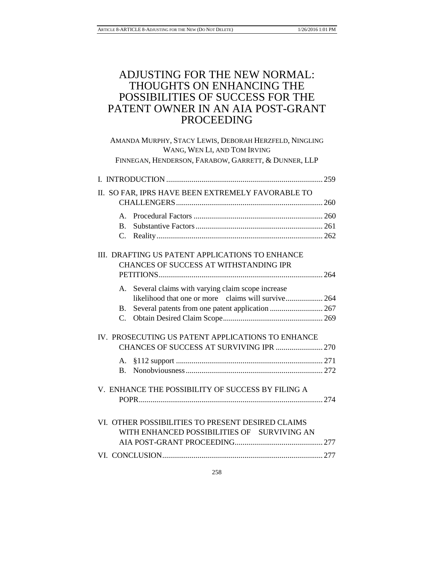# ADJUSTING FOR THE NEW NORMAL: THOUGHTS ON ENHANCING THE POSSIBILITIES OF SUCCESS FOR THE PATENT OWNER IN AN AIA POST-GRANT PROCEEDING

| AMANDA MURPHY, STACY LEWIS, DEBORAH HERZFELD, NINGLING<br>WANG, WEN LI, AND TOM IRVING           |  |
|--------------------------------------------------------------------------------------------------|--|
| FINNEGAN, HENDERSON, FARABOW, GARRETT, & DUNNER, LLP                                             |  |
|                                                                                                  |  |
| II. SO FAR, IPRS HAVE BEEN EXTREMELY FAVORABLE TO                                                |  |
|                                                                                                  |  |
| A.                                                                                               |  |
| $\mathbf{B}$ .                                                                                   |  |
|                                                                                                  |  |
| III. DRAFTING US PATENT APPLICATIONS TO ENHANCE<br>CHANCES OF SUCCESS AT WITHSTANDING IPR        |  |
| A. Several claims with varying claim scope increase                                              |  |
| likelihood that one or more claims will survive 264<br><b>B.</b>                                 |  |
| C.                                                                                               |  |
| IV. PROSECUTING US PATENT APPLICATIONS TO ENHANCE<br>CHANCES OF SUCCESS AT SURVIVING IPR  270    |  |
| А.<br>$\mathbf{B}$ .                                                                             |  |
| V. ENHANCE THE POSSIBILITY OF SUCCESS BY FILING A                                                |  |
| VI. OTHER POSSIBILITIES TO PRESENT DESIRED CLAIMS<br>WITH ENHANCED POSSIBILITIES OF SURVIVING AN |  |
|                                                                                                  |  |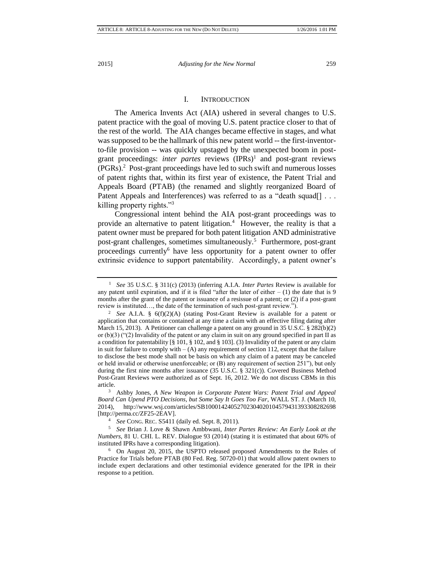# I. INTRODUCTION

The America Invents Act (AIA) ushered in several changes to U.S. patent practice with the goal of moving U.S. patent practice closer to that of the rest of the world. The AIA changes became effective in stages, and what was supposed to be the hallmark of this new patent world -- the first-inventorto-file provision -- was quickly upstaged by the unexpected boom in postgrant proceedings: *inter partes* reviews (IPRs)<sup>1</sup> and post-grant reviews (PGRs).<sup>2</sup> Post-grant proceedings have led to such swift and numerous losses of patent rights that, within its first year of existence, the Patent Trial and Appeals Board (PTAB) (the renamed and slightly reorganized Board of Patent Appeals and Interferences) was referred to as a "death squad[] . . . killing property rights."<sup>3</sup>

Congressional intent behind the AIA post-grant proceedings was to provide an alternative to patent litigation.<sup>4</sup> However, the reality is that a patent owner must be prepared for both patent litigation AND administrative post-grant challenges, sometimes simultaneously.<sup>5</sup> Furthermore, post-grant proceedings currently<sup>6</sup> have less opportunity for a patent owner to offer extrinsic evidence to support patentability. Accordingly, a patent owner's

<sup>1</sup> *See* 35 U.S.C. § 311(c) (2013) (inferring A.I.A. *Inter Partes* Review is available for any patent until expiration, and if it is filed "after the later of either  $- (1)$  the date that is 9 months after the grant of the patent or issuance of a resissue of a patent; or (2) if a post-grant review is instituted…, the date of the termination of such post-grant review.").

<sup>2</sup> *See* A.I.A. § 6(f)(2)(A) (stating Post-Grant Review is available for a patent or application that contains or contained at any time a claim with an effective filing dating after March 15, 2013). A Petitioner can challenge a patent on any ground in 35 U.S.C.  $\S 282(b)(2)$ or (b)(3) ("(2) Invalidity of the patent or any claim in suit on any ground specified in part II as a condition for patentability [§ 101, § 102, and § 103]. (3) Invalidity of the patent or any claim in suit for failure to comply with  $- (A)$  any requirement of section 112, except that the failure to disclose the best mode shall not be basis on which any claim of a patent may be canceled or held invalid or otherwise unenforceable; or (B) any requirement of section 251"), but only during the first nine months after issuance (35 U.S.C. § 321(c)). Covered Business Method Post-Grant Reviews were authorized as of Sept. 16, 2012. We do not discuss CBMs in this article.

<sup>3</sup> Ashby Jones, *A New Weapon in Corporate Patent Wars: Patent Trial and Appeal Board Can Upend PTO Decisions, but Some Say It Goes Too Far*, WALL ST. J. (March 10, 2014), http://www.wsj.com/articles/SB10001424052702304020104579431393308282698 [http://perma.cc/ZF25-2EAV].

<sup>4</sup> *See* CONG. REC. S5411 (daily ed. Sept. 8, 2011).

<sup>5</sup> *See* Brian J. Love & Shawn Ambbwani, *Inter Partes Review: An Early Look at the Numbers*, 81 U. CHI. L. REV. Dialogue 93 (2014) (stating it is estimated that about 60% of instituted IPRs have a corresponding litigation).

<sup>6</sup> On August 20, 2015, the USPTO released proposed Amendments to the Rules of Practice for Trials before PTAB (80 Fed. Reg. 50720-01) that would allow patent owners to include expert declarations and other testimonial evidence generated for the IPR in their response to a petition.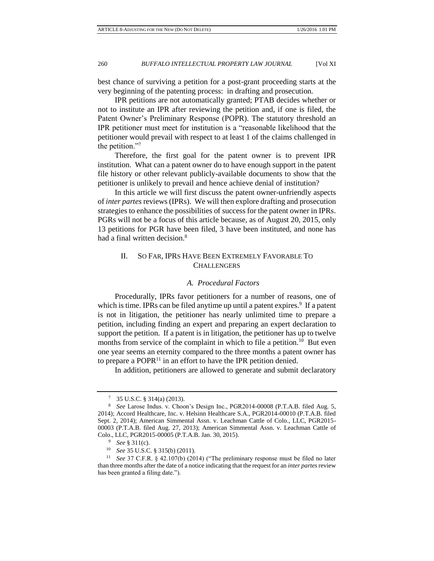best chance of surviving a petition for a post-grant proceeding starts at the very beginning of the patenting process: in drafting and prosecution.

IPR petitions are not automatically granted; PTAB decides whether or not to institute an IPR after reviewing the petition and, if one is filed, the Patent Owner's Preliminary Response (POPR). The statutory threshold an IPR petitioner must meet for institution is a "reasonable likelihood that the petitioner would prevail with respect to at least 1 of the claims challenged in the petition."<sup>7</sup>

Therefore, the first goal for the patent owner is to prevent IPR institution. What can a patent owner do to have enough support in the patent file history or other relevant publicly-available documents to show that the petitioner is unlikely to prevail and hence achieve denial of institution?

In this article we will first discuss the patent owner-unfriendly aspects of *inter partes* reviews (IPRs). We will then explore drafting and prosecution strategies to enhance the possibilities of success for the patent owner in IPRs. PGRs will not be a focus of this article because, as of August 20, 2015, only 13 petitions for PGR have been filed, 3 have been instituted, and none has had a final written decision.<sup>8</sup>

# II. SO FAR, IPRS HAVE BEEN EXTREMELY FAVORABLE TO **CHALLENGERS**

#### *A. Procedural Factors*

Procedurally, IPRs favor petitioners for a number of reasons, one of which is time. IPRs can be filed anytime up until a patent expires.<sup>9</sup> If a patent is not in litigation, the petitioner has nearly unlimited time to prepare a petition, including finding an expert and preparing an expert declaration to support the petition. If a patent is in litigation, the petitioner has up to twelve months from service of the complaint in which to file a petition.<sup>10</sup> But even one year seems an eternity compared to the three months a patent owner has to prepare a  $POPR<sup>11</sup>$  in an effort to have the IPR petition denied.

In addition, petitioners are allowed to generate and submit declaratory

<sup>7</sup> 35 U.S.C. § 314(a) (2013).

<sup>8</sup> *See* Larose Indus. v. Choon's Design Inc., PGR2014-00008 (P.T.A.B. filed Aug. 5, 2014); Accord Healthcare, Inc. v. Helsinn Healthcare S.A., PGR2014-00010 (P.T.A.B. filed Sept. 2, 2014); American Simmental Assn. v. Leachman Cattle of Colo., LLC, PGR2015- 00003 (P.T.A.B. filed Aug. 27, 2013); American Simmental Assn. v. Leachman Cattle of Colo., LLC, PGR2015-00005 (P.T.A.B. Jan. 30, 2015).

<sup>9</sup> *See* § 311(c).

<sup>10</sup> *See* 35 U.S.C. § 315(b) (2011).

<sup>11</sup> *See* 37 C.F.R. § 42.107(b) (2014) ("The preliminary response must be filed no later than three months after the date of a notice indicating that the request for an *inter partes* review has been granted a filing date.").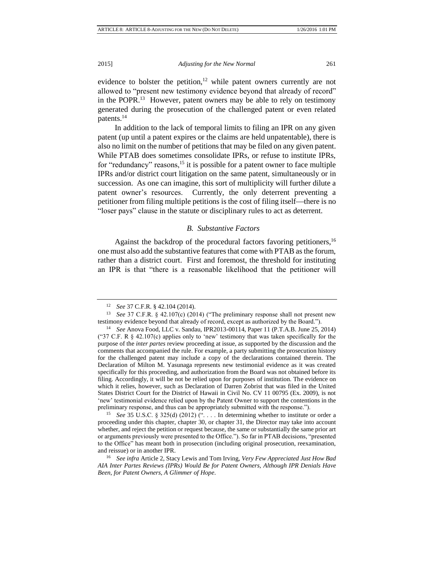evidence to bolster the petition, $12$  while patent owners currently are not allowed to "present new testimony evidence beyond that already of record" in the POPR.<sup>13</sup> However, patent owners may be able to rely on testimony generated during the prosecution of the challenged patent or even related patents.<sup>14</sup>

In addition to the lack of temporal limits to filing an IPR on any given patent (up until a patent expires or the claims are held unpatentable), there is also no limit on the number of petitions that may be filed on any given patent. While PTAB does sometimes consolidate IPRs, or refuse to institute IPRs, for "redundancy" reasons,<sup>15</sup> it is possible for a patent owner to face multiple IPRs and/or district court litigation on the same patent, simultaneously or in succession. As one can imagine, this sort of multiplicity will further dilute a patent owner's resources. Currently, the only deterrent preventing a petitioner from filing multiple petitions is the cost of filing itself—there is no "loser pays" clause in the statute or disciplinary rules to act as deterrent.

#### *B. Substantive Factors*

Against the backdrop of the procedural factors favoring petitioners,<sup>16</sup> one must also add the substantive features that come with PTAB as the forum, rather than a district court. First and foremost, the threshold for instituting an IPR is that "there is a reasonable likelihood that the petitioner will

<sup>15</sup> *See* 35 U.S.C. § 325(d) (2012) ("... In determining whether to institute or order a proceeding under this chapter, chapter 30, or chapter 31, the Director may take into account whether, and reject the petition or request because, the same or substantially the same prior art or arguments previously were presented to the Office."). So far in PTAB decisions, "presented to the Office" has meant both in prosecution (including original prosecution, reexamination, and reissue) or in another IPR.

<sup>16</sup> *See infra* Article 2, Stacy Lewis and Tom Irving, *Very Few Appreciated Just How Bad AIA Inter Partes Reviews (IPRs) Would Be for Patent Owners, Although IPR Denials Have Been, for Patent Owners, A Glimmer of Hope*.

<sup>12</sup> *See* 37 C.F.R. § 42.104 (2014).

<sup>13</sup> *See* 37 C.F.R. § 42.107(c) (2014) ("The preliminary response shall not present new testimony evidence beyond that already of record, except as authorized by the Board.").

<sup>14</sup> *See* Anova Food, LLC v. Sandau, IPR2013-00114, Paper 11 (P.T.A.B. June 25, 2014) ("37 C.F. R  $\&$  42.107(c) applies only to 'new' testimony that was taken specifically for the purpose of the *inter partes* review proceeding at issue, as supported by the discussion and the comments that accompanied the rule. For example, a party submitting the prosecution history for the challenged patent may include a copy of the declarations contained therein. The Declaration of Milton M. Yasunaga represents new testimonial evidence as it was created specifically for this proceeding, and authorization from the Board was not obtained before its filing. Accordingly, it will be not be relied upon for purposes of institution. The evidence on which it relies, however, such as Declaration of Darren Zobrist that was filed in the United States District Court for the District of Hawaii in Civil No. CV 11 00795 (Ex. 2009), is not 'new' testimonial evidence relied upon by the Patent Owner to support the contentions in the preliminary response, and thus can be appropriately submitted with the response.").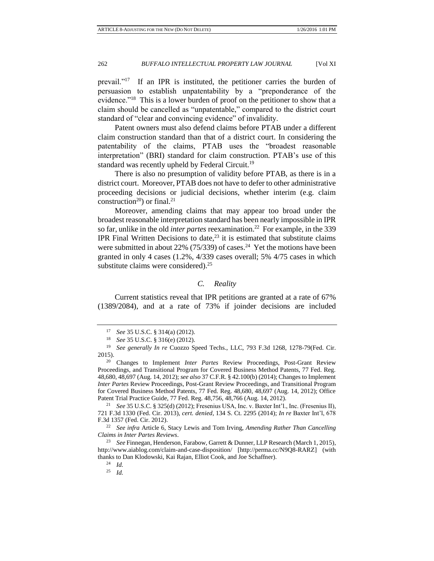prevail."<sup>17</sup> If an IPR is instituted, the petitioner carries the burden of persuasion to establish unpatentability by a "preponderance of the evidence."<sup>18</sup> This is a lower burden of proof on the petitioner to show that a claim should be cancelled as "unpatentable," compared to the district court standard of "clear and convincing evidence" of invalidity.

Patent owners must also defend claims before PTAB under a different claim construction standard than that of a district court. In considering the patentability of the claims, PTAB uses the "broadest reasonable interpretation" (BRI) standard for claim construction. PTAB's use of this standard was recently upheld by Federal Circuit.<sup>19</sup>

There is also no presumption of validity before PTAB, as there is in a district court. Moreover, PTAB does not have to defer to other administrative proceeding decisions or judicial decisions, whether interim (e.g. claim construction<sup>20</sup>) or final.<sup>21</sup>

Moreover, amending claims that may appear too broad under the broadest reasonable interpretation standard has been nearly impossible in IPR so far, unlike in the old *inter partes* reexamination.<sup>22</sup> For example, in the 339 IPR Final Written Decisions to date, $^{23}$  it is estimated that substitute claims were submitted in about 22%  $(75/339)$  of cases.<sup>24</sup> Yet the motions have been granted in only 4 cases (1.2%, 4/339 cases overall; 5% 4/75 cases in which substitute claims were considered). $25$ 

# *C. Reality*

Current statistics reveal that IPR petitions are granted at a rate of 67% (1389/2084), and at a rate of 73% if joinder decisions are included

<sup>17</sup> *See* 35 U.S.C. § 314(a) (2012).

<sup>18</sup> *See* 35 U.S.C. § 316(e) (2012).

<sup>19</sup> *See generally In re* Cuozzo Speed Techs., LLC, 793 F.3d 1268, 1278-79(Fed. Cir. 2015).

<sup>20</sup> Changes to Implement *Inter Partes* Review Proceedings, Post-Grant Review Proceedings, and Transitional Program for Covered Business Method Patents, 77 Fed. Reg. 48,680, 48,697 (Aug. 14, 2012); *see also* 37 C.F.R. § 42.100(b) (2014); Changes to Implement *Inter Partes* Review Proceedings, Post-Grant Review Proceedings, and Transitional Program for Covered Business Method Patents, 77 Fed. Reg. 48,680, 48,697 (Aug. 14, 2012); Office Patent Trial Practice Guide, 77 Fed. Reg. 48,756, 48,766 (Aug. 14, 2012).

<sup>21</sup> *See* 35 U.S.C. § 325(d) (2012); Fresenius USA, Inc. v. Baxter Int'l., Inc. (Fresenius II), 721 F.3d 1330 (Fed. Cir. 2013), *cert. denied*, 134 S. Ct. 2295 (2014); *In re* Baxter Int'l, 678 F.3d 1357 (Fed. Cir. 2012).

<sup>22</sup> *See infra* Article 6, Stacy Lewis and Tom Irving, *Amending Rather Than Cancelling Claims in Inter Partes Reviews*.

<sup>23</sup> *See* Finnegan, Henderson, Farabow, Garrett & Dunner, LLP Research (March 1, 2015), <http://www.aiablog.com/claim-and-case-disposition/> [http://perma.cc/N9Q8-RARZ] (with thanks to Dan Klodowski, Kai Rajan, Elliot Cook, and Joe Schaffner).

<sup>24</sup> *Id.*

<sup>25</sup> *Id.*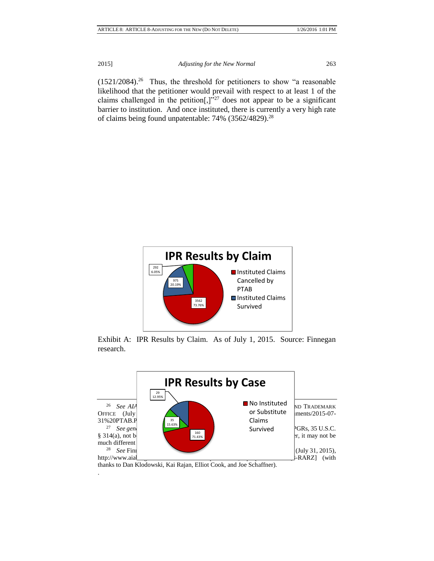$(1521/2084).$ <sup>26</sup> Thus, the threshold for petitioners to show "a reasonable likelihood that the petitioner would prevail with respect to at least 1 of the claims challenged in the petition  $[$ , $]$ "<sup>27</sup> does not appear to be a significant barrier to institution. And once instituted, there is currently a very high rate of claims being found unpatentable:  $74\%$  (3562/4829).<sup>28</sup>



Exhibit A: IPR Results by Claim. As of July 1, 2015. Source: Finnegan research.



thanks to Dan Klodowski, Kai Rajan, Elliot Cook, and Joe Schaffner).

.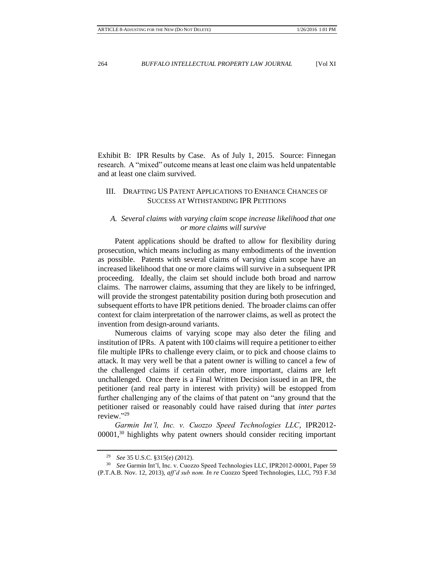Exhibit B: IPR Results by Case. As of July 1, 2015. Source: Finnegan research. A "mixed" outcome means at least one claim was held unpatentable and at least one claim survived.

# III. DRAFTING US PATENT APPLICATIONS TO ENHANCE CHANCES OF SUCCESS AT WITHSTANDING IPR PETITIONS

# *A. Several claims with varying claim scope increase likelihood that one or more claims will survive*

Patent applications should be drafted to allow for flexibility during prosecution, which means including as many embodiments of the invention as possible. Patents with several claims of varying claim scope have an increased likelihood that one or more claims will survive in a subsequent IPR proceeding. Ideally, the claim set should include both broad and narrow claims. The narrower claims, assuming that they are likely to be infringed, will provide the strongest patentability position during both prosecution and subsequent efforts to have IPR petitions denied. The broader claims can offer context for claim interpretation of the narrower claims, as well as protect the invention from design-around variants.

Numerous claims of varying scope may also deter the filing and institution of IPRs. A patent with 100 claims will require a petitioner to either file multiple IPRs to challenge every claim, or to pick and choose claims to attack. It may very well be that a patent owner is willing to cancel a few of the challenged claims if certain other, more important, claims are left unchallenged. Once there is a Final Written Decision issued in an IPR, the petitioner (and real party in interest with privity) will be estopped from further challenging any of the claims of that patent on "any ground that the petitioner raised or reasonably could have raised during that *inter partes* review."<sup>29</sup>

*Garmin Int'l, Inc. v. Cuozzo Speed Technologies LLC*, IPR2012- 00001,<sup>30</sup> highlights why patent owners should consider reciting important

<sup>29</sup> *See* 35 U.S.C. §315(e) (2012).

<sup>30</sup> *See* Garmin Int'l, Inc. v. Cuozzo Speed Technologies LLC, IPR2012-00001, Paper 59 (P.T.A.B. Nov. 12, 2013), *aff'd sub nom. In re* Cuozzo Speed Technologies, LLC, 793 F.3d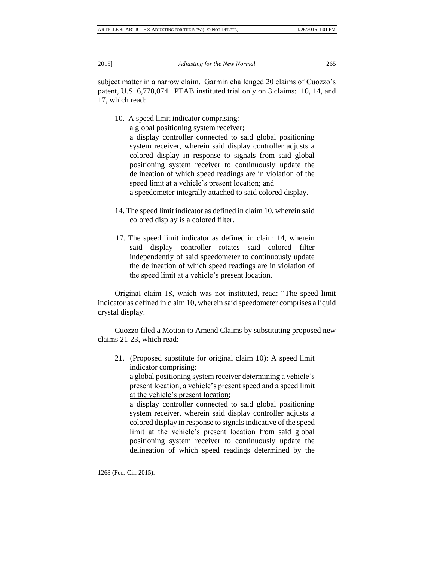subject matter in a narrow claim. Garmin challenged 20 claims of Cuozzo's patent, U.S. 6,778,074. PTAB instituted trial only on 3 claims: 10, 14, and 17, which read:

10. A speed limit indicator comprising:

a global positioning system receiver;

a display controller connected to said global positioning system receiver, wherein said display controller adjusts a colored display in response to signals from said global positioning system receiver to continuously update the delineation of which speed readings are in violation of the speed limit at a vehicle's present location; and a speedometer integrally attached to said colored display.

- 14. The speed limit indicator as defined in claim 10, wherein said colored display is a colored filter.
- 17. The speed limit indicator as defined in claim 14, wherein said display controller rotates said colored filter independently of said speedometer to continuously update the delineation of which speed readings are in violation of the speed limit at a vehicle's present location.

Original claim 18, which was not instituted, read: "The speed limit indicator as defined in claim 10, wherein said speedometer comprises a liquid crystal display.

Cuozzo filed a Motion to Amend Claims by substituting proposed new claims 21-23, which read:

21. (Proposed substitute for original claim 10): A speed limit indicator comprising: a global positioning system receiver determining a vehicle's

present location, a vehicle's present speed and a speed limit at the vehicle's present location;

a display controller connected to said global positioning system receiver, wherein said display controller adjusts a colored display in response to signals indicative of the speed limit at the vehicle's present location from said global positioning system receiver to continuously update the delineation of which speed readings determined by the

<sup>1268 (</sup>Fed. Cir. 2015).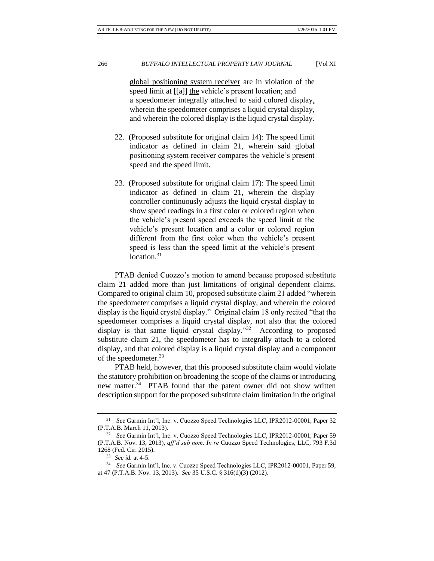global positioning system receiver are in violation of the speed limit at [[a]] the vehicle's present location; and a speedometer integrally attached to said colored display, wherein the speedometer comprises a liquid crystal display, and wherein the colored display is the liquid crystal display.

- 22. (Proposed substitute for original claim 14): The speed limit indicator as defined in claim 21, wherein said global positioning system receiver compares the vehicle's present speed and the speed limit.
- 23. (Proposed substitute for original claim 17): The speed limit indicator as defined in claim 21, wherein the display controller continuously adjusts the liquid crystal display to show speed readings in a first color or colored region when the vehicle's present speed exceeds the speed limit at the vehicle's present location and a color or colored region different from the first color when the vehicle's present speed is less than the speed limit at the vehicle's present location.<sup>31</sup>

PTAB denied Cuozzo's motion to amend because proposed substitute claim 21 added more than just limitations of original dependent claims. Compared to original claim 10, proposed substitute claim 21 added "wherein the speedometer comprises a liquid crystal display, and wherein the colored display is the liquid crystal display." Original claim 18 only recited "that the speedometer comprises a liquid crystal display, not also that the colored display is that same liquid crystal display."<sup>32</sup> According to proposed substitute claim 21, the speedometer has to integrally attach to a colored display, and that colored display is a liquid crystal display and a component of the speedometer.<sup>33</sup>

PTAB held, however, that this proposed substitute claim would violate the statutory prohibition on broadening the scope of the claims or introducing new matter.<sup>34</sup> PTAB found that the patent owner did not show written description support for the proposed substitute claim limitation in the original

<sup>31</sup> *See* Garmin Int'l, Inc. v. Cuozzo Speed Technologies LLC, IPR2012-00001, Paper 32 (P.T.A.B. March 11, 2013).

<sup>32</sup> *See* Garmin Int'l, Inc. v. Cuozzo Speed Technologies LLC, IPR2012-00001, Paper 59 (P.T.A.B. Nov. 13, 2013), *aff'd sub nom. In re* Cuozzo Speed Technologies, LLC, 793 F.3d 1268 (Fed. Cir. 2015).

<sup>33</sup> *See id.* at 4-5.

<sup>34</sup> *See* Garmin Int'l, Inc. v. Cuozzo Speed Technologies LLC, IPR2012-00001, Paper 59, at 47 (P.T.A.B. Nov. 13, 2013). *See* 35 U.S.C. § 316(d)(3) (2012).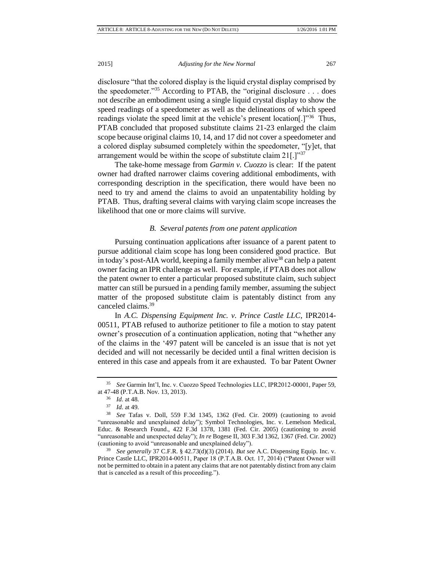disclosure "that the colored display is the liquid crystal display comprised by the speedometer."<sup>35</sup> According to PTAB, the "original disclosure . . . does not describe an embodiment using a single liquid crystal display to show the speed readings of a speedometer as well as the delineations of which speed readings violate the speed limit at the vehicle's present location<sup>[1,1,1,136</sup> Thus, PTAB concluded that proposed substitute claims 21-23 enlarged the claim scope because original claims 10, 14, and 17 did not cover a speedometer and a colored display subsumed completely within the speedometer, "[y]et, that arrangement would be within the scope of substitute claim 21[.]"37

The take-home message from *Garmin v. Cuozzo* is clear: If the patent owner had drafted narrower claims covering additional embodiments, with corresponding description in the specification, there would have been no need to try and amend the claims to avoid an unpatentability holding by PTAB. Thus, drafting several claims with varying claim scope increases the likelihood that one or more claims will survive.

## *B. Several patents from one patent application*

Pursuing continuation applications after issuance of a parent patent to pursue additional claim scope has long been considered good practice. But in today's post-AIA world, keeping a family member alive<sup>38</sup> can help a patent owner facing an IPR challenge as well. For example, if PTAB does not allow the patent owner to enter a particular proposed substitute claim, such subject matter can still be pursued in a pending family member, assuming the subject matter of the proposed substitute claim is patentably distinct from any canceled claims.<sup>39</sup>

In *A.C. Dispensing Equipment Inc. v. Prince Castle LLC*, IPR2014- 00511, PTAB refused to authorize petitioner to file a motion to stay patent owner's prosecution of a continuation application, noting that "whether any of the claims in the '497 patent will be canceled is an issue that is not yet decided and will not necessarily be decided until a final written decision is entered in this case and appeals from it are exhausted. To bar Patent Owner

<sup>39</sup> *See generally* 37 C.F.R. § 42.73(d)(3) (2014). *But see* A.C. Dispensing Equip. Inc. v. Prince Castle LLC, IPR2014-00511, Paper 18 (P.T.A.B. Oct. 17, 2014) ("Patent Owner will not be permitted to obtain in a patent any claims that are not patentably distinct from any claim that is canceled as a result of this proceeding.").

<sup>35</sup> *See* Garmin Int'l, Inc. v. Cuozzo Speed Technologies LLC, IPR2012-00001, Paper 59, at 47-48 (P.T.A.B. Nov. 13, 2013).

<sup>36</sup> *Id*. at 48.

<sup>37</sup> *Id*. at 49.

<sup>38</sup> *See* Tafas v. Doll, 559 F.3d 1345, 1362 (Fed. Cir. 2009) (cautioning to avoid "unreasonable and unexplained delay"); Symbol Technologies, Inc. v. Lemelson Medical, Educ. & Research Found., 422 F.3d 1378, 1381 (Fed. Cir. 2005) (cautioning to avoid "unreasonable and unexpected delay"); *In re* Bogese II, 303 F.3d 1362, 1367 (Fed. Cir. 2002) (cautioning to avoid "unreasonable and unexplained delay").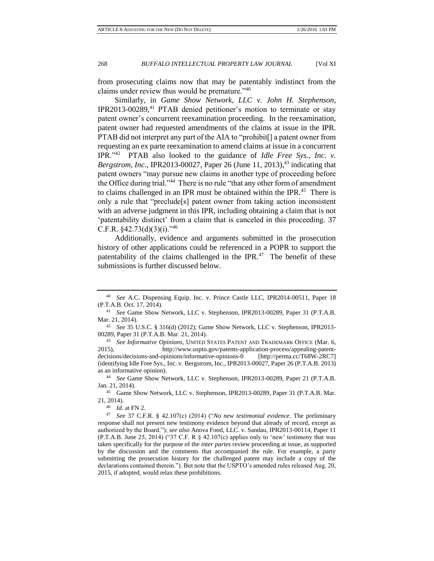from prosecuting claims now that may be patentably indistinct from the claims under review thus would be premature."<sup>40</sup>

Similarly, in *Game Show Network, LLC v. John H. Stephenson*, IPR2013-00289,<sup>41</sup> PTAB denied petitioner's motion to terminate or stay patent owner's concurrent reexamination proceeding. In the reexamination, patent owner had requested amendments of the claims at issue in the IPR. PTAB did not interpret any part of the AIA to "prohibit[] a patent owner from requesting an ex parte reexamination to amend claims at issue in a concurrent IPR."<sup>42</sup> PTAB also looked to the guidance of *Idle Free Sys., Inc. v. Bergstrom, Inc.*, IPR2013-00027, Paper 26 (June 11, 2013),<sup>43</sup> indicating that patent owners "may pursue new claims in another type of proceeding before the Office during trial."<sup>44</sup> There is no rule "that any other form of amendment to claims challenged in an IPR must be obtained within the IPR.<sup>45</sup> There is only a rule that "preclude[s] patent owner from taking action inconsistent with an adverse judgment in this IPR, including obtaining a claim that is not 'patentability distinct' from a claim that is canceled in this proceeding. 37 C.F.R.  $§42.73(d)(3)(i).$ <sup>746</sup>

Additionally, evidence and arguments submitted in the prosecution history of other applications could be referenced in a POPR to support the patentability of the claims challenged in the IPR. $47$  The benefit of these submissions is further discussed below.

<sup>43</sup> *See Informative Opinions*, UNITED STATES PATENT AND TRADEMARK OFFICE (Mar. 6, 2015), http://www.uspto.gov/patents-application-process/appealing-patentdecisions/decisions-and-opinions/informative-opinions-0 [http://perma.cc/T68W-2RC7] (identifying Idle Free Sys., Inc. v. Bergstrom, Inc., IPR2013-00027, Paper 26 (P.T.A.B. 2013) as an informative opinion).

<sup>45</sup> Game Show Network, LLC v. Stephenson, IPR2013-00289, Paper 31 (P.T.A.B. Mar. 21, 2014).

<sup>46</sup> *Id*. at FN 2.

<sup>40</sup> *See* A.C. Dispensing Equip. Inc. v. Prince Castle LLC, IPR2014-00511, Paper 18 (P.T.A.B. Oct. 17, 2014).

<sup>41</sup> *See* Game Show Network, LLC v. Stephenson, IPR2013-00289, Paper 31 (P.T.A.B. Mar. 21, 2014).

<sup>42</sup> *See* 35 U.S.C. § 316(d) (2012); Game Show Network, LLC v. Stephenson, IPR2013- 00289, Paper 31 (P.T.A.B. Mar. 21, 2014)*.*

<sup>44</sup> *See* Game Show Network, LLC v. Stephenson, IPR2013-00289, Paper 21 (P.T.A.B. Jan. 21, 2014).

<sup>47</sup> *See* 37 C.F.R. § 42.107(c) (2014) ("*No new testimonial evidence*. The preliminary response shall not present new testimony evidence beyond that already of record, except as authorized by the Board."); *see also* Anova Food, LLC. v. Sandau, IPR2013-00114, Paper 11 (P.T.A.B. June 25, 2014) ("37 C.F. R  $\S$  42.107(c) applies only to 'new' testimony that was taken specifically for the purpose of the *inter partes* review proceeding at issue, as supported by the discussion and the comments that accompanied the rule. For example, a party submitting the prosecution history for the challenged patent may include a copy of the declarations contained therein."). But note that the USPTO's amended rules released Aug. 20, 2015, if adopted, would relax these prohibitions.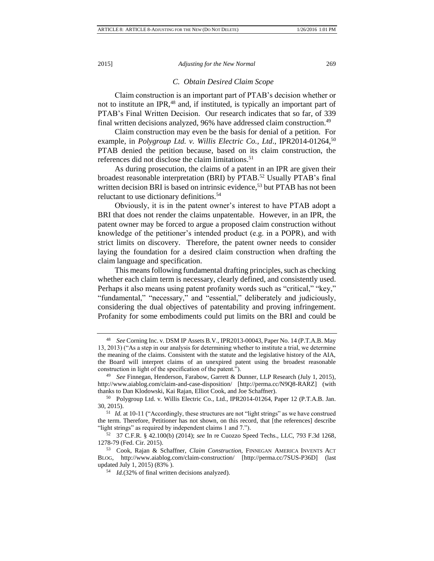#### *C. Obtain Desired Claim Scope*

Claim construction is an important part of PTAB's decision whether or not to institute an IPR,<sup>48</sup> and, if instituted, is typically an important part of PTAB's Final Written Decision. Our research indicates that so far, of 339 final written decisions analyzed, 96% have addressed claim construction.<sup>49</sup>

Claim construction may even be the basis for denial of a petition. For example, in *Polygroup Ltd. v. Willis Electric Co., Ltd.*, IPR2014-01264,<sup>50</sup> PTAB denied the petition because, based on its claim construction, the references did not disclose the claim limitations.<sup>51</sup>

As during prosecution, the claims of a patent in an IPR are given their broadest reasonable interpretation (BRI) by PTAB.<sup>52</sup> Usually PTAB's final written decision BRI is based on intrinsic evidence,<sup>53</sup> but PTAB has not been reluctant to use dictionary definitions.<sup>54</sup>

Obviously, it is in the patent owner's interest to have PTAB adopt a BRI that does not render the claims unpatentable. However, in an IPR, the patent owner may be forced to argue a proposed claim construction without knowledge of the petitioner's intended product (e.g. in a POPR), and with strict limits on discovery. Therefore, the patent owner needs to consider laying the foundation for a desired claim construction when drafting the claim language and specification.

This means following fundamental drafting principles, such as checking whether each claim term is necessary, clearly defined, and consistently used. Perhaps it also means using patent profanity words such as "critical," "key," "fundamental," "necessary," and "essential," deliberately and judiciously, considering the dual objectives of patentability and proving infringement. Profanity for some embodiments could put limits on the BRI and could be

<sup>48</sup> *See* Corning Inc. v. DSM IP Assets B.V., IPR2013-00043, Paper No. 14 (P.T.A.B. May 13, 2013) ("As a step in our analysis for determining whether to institute a trial, we determine the meaning of the claims. Consistent with the statute and the legislative history of the AIA, the Board will interpret claims of an unexpired patent using the broadest reasonable construction in light of the specification of the patent.").

<sup>49</sup> *See* Finnegan, Henderson, Farabow, Garrett & Dunner, LLP Research (July 1, 2015), <http://www.aiablog.com/claim-and-case-disposition/> [http://perma.cc/N9Q8-RARZ] (with thanks to Dan Klodowski, Kai Rajan, Elliot Cook, and Joe Schaffner).

<sup>50</sup> Polygroup Ltd. v. Willis Electric Co., Ltd., IPR2014-01264, Paper 12 (P.T.A.B. Jan. 30, 2015).

<sup>&</sup>lt;sup>51</sup> *Id.* at 10-11 ("Accordingly, these structures are not "light strings" as we have construed the term. Therefore, Petitioner has not shown, on this record, that [the references] describe "light strings" as required by independent claims 1 and 7.").

<sup>52</sup> 37 C.F.R. § 42.100(b) (2014); *see* In re Cuozzo Speed Techs., LLC, 793 F.3d 1268, 1278-79 (Fed. Cir. 2015).

<sup>53</sup> Cook, Rajan & Schaffner, *Claim Construction*, FINNEGAN AMERICA INVENTS ACT BLOG, http://www.aiablog.com/claim-construction/ [http://perma.cc/7SUS-P36D] (last updated July 1, 2015) (83% ).

<sup>54</sup> *Id.*(32% of final written decisions analyzed).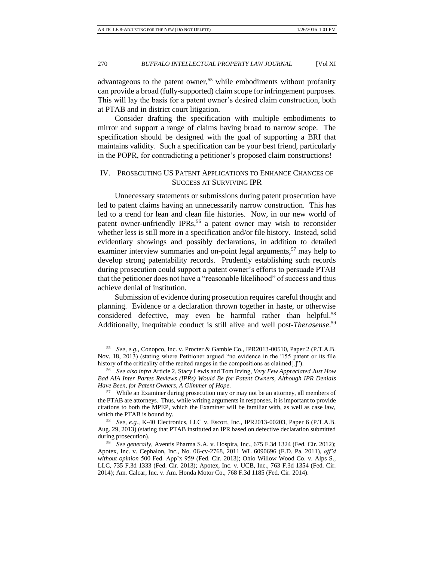advantageous to the patent owner,<sup>55</sup> while embodiments without profanity can provide a broad (fully-supported) claim scope for infringement purposes. This will lay the basis for a patent owner's desired claim construction, both at PTAB and in district court litigation.

Consider drafting the specification with multiple embodiments to mirror and support a range of claims having broad to narrow scope. The specification should be designed with the goal of supporting a BRI that maintains validity. Such a specification can be your best friend, particularly in the POPR, for contradicting a petitioner's proposed claim constructions!

# IV. PROSECUTING US PATENT APPLICATIONS TO ENHANCE CHANCES OF SUCCESS AT SURVIVING IPR

Unnecessary statements or submissions during patent prosecution have led to patent claims having an unnecessarily narrow construction. This has led to a trend for lean and clean file histories. Now, in our new world of patent owner-unfriendly IPRs,<sup>56</sup> a patent owner may wish to reconsider whether less is still more in a specification and/or file history. Instead, solid evidentiary showings and possibly declarations, in addition to detailed examiner interview summaries and on-point legal arguments,  $57$  may help to develop strong patentability records. Prudently establishing such records during prosecution could support a patent owner's efforts to persuade PTAB that the petitioner does not have a "reasonable likelihood" of success and thus achieve denial of institution.

Submission of evidence during prosecution requires careful thought and planning. Evidence or a declaration thrown together in haste, or otherwise considered defective, may even be harmful rather than helpful.<sup>58</sup> Additionally, inequitable conduct is still alive and well post-*Therasense*. 59

<sup>55</sup> *See, e.g.,* Conopco, Inc. v. Procter & Gamble Co., IPR2013-00510, Paper 2 (P.T.A.B. Nov. 18, 2013) (stating where Petitioner argued "no evidence in the '155 patent or its file history of the criticality of the recited ranges in the compositions as claimed[.]").

<sup>56</sup> *See also infra* Article 2, Stacy Lewis and Tom Irving, *Very Few Appreciated Just How Bad AIA Inter Partes Reviews (IPRs) Would Be for Patent Owners, Although IPR Denials Have Been, for Patent Owners, A Glimmer of Hope*.

<sup>57</sup> While an Examiner during prosecution may or may not be an attorney, all members of the PTAB are attorneys. Thus, while writing arguments in responses, it is important to provide citations to both the MPEP, which the Examiner will be familiar with, as well as case law, which the PTAB is bound by.

<sup>58</sup> *See, e.g.*, K-40 Electronics, LLC v. Escort, Inc., IPR2013-00203, Paper 6 (P.T.A.B. Aug. 29, 2013) (stating that PTAB instituted an IPR based on defective declaration submitted during prosecution).

<sup>59</sup> *See generally,* Aventis Pharma S.A. v. Hospira, Inc., 675 F.3d 1324 (Fed. Cir. 2012); Apotex, Inc. v. Cephalon, Inc., No. 06-cv-2768, 2011 WL 6090696 (E.D. Pa. 2011), *aff'd without opinion* 500 Fed. App'x 959 (Fed. Cir. 2013); Ohio Willow Wood Co. v. Alps S., LLC, 735 F.3d 1333 (Fed. Cir. 2013); Apotex, Inc. v. UCB, Inc., 763 F.3d 1354 (Fed. Cir. 2014); Am. Calcar, Inc. v. Am. Honda Motor Co., 768 F.3d 1185 (Fed. Cir. 2014).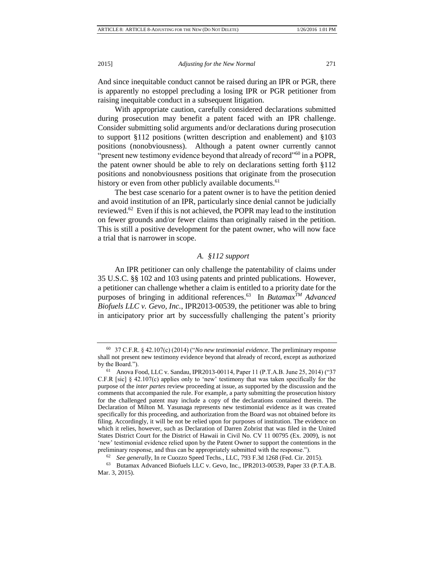And since inequitable conduct cannot be raised during an IPR or PGR, there is apparently no estoppel precluding a losing IPR or PGR petitioner from raising inequitable conduct in a subsequent litigation.

With appropriate caution, carefully considered declarations submitted during prosecution may benefit a patent faced with an IPR challenge. Consider submitting solid arguments and/or declarations during prosecution to support §112 positions (written description and enablement) and §103 positions (nonobviousness). Although a patent owner currently cannot "present new testimony evidence beyond that already of record"<sup>60</sup> in a POPR, the patent owner should be able to rely on declarations setting forth §112 positions and nonobviousness positions that originate from the prosecution history or even from other publicly available documents.<sup>61</sup>

The best case scenario for a patent owner is to have the petition denied and avoid institution of an IPR, particularly since denial cannot be judicially reviewed.<sup>62</sup> Even if this is not achieved, the POPR may lead to the institution on fewer grounds and/or fewer claims than originally raised in the petition. This is still a positive development for the patent owner, who will now face a trial that is narrower in scope.

# *A. §112 support*

An IPR petitioner can only challenge the patentability of claims under 35 U.S.C. §§ 102 and 103 using patents and printed publications. However, a petitioner can challenge whether a claim is entitled to a priority date for the purposes of bringing in additional references.<sup>63</sup> In *ButamaxTM Advanced Biofuels LLC v. Gevo, Inc.*, IPR2013-00539, the petitioner was able to bring in anticipatory prior art by successfully challenging the patent's priority

<sup>60</sup> 37 C.F.R. § 42.107(c) (2014) ("*No new testimonial evidence*. The preliminary response shall not present new testimony evidence beyond that already of record, except as authorized by the Board.").

<sup>61</sup> Anova Food, LLC v. Sandau, IPR2013-00114, Paper 11 (P.T.A.B. June 25, 2014) ("37 C.F.R [sic] § 42.107(c) applies only to 'new' testimony that was taken specifically for the purpose of the *inter partes* review proceeding at issue, as supported by the discussion and the comments that accompanied the rule. For example, a party submitting the prosecution history for the challenged patent may include a copy of the declarations contained therein. The Declaration of Milton M. Yasunaga represents new testimonial evidence as it was created specifically for this proceeding, and authorization from the Board was not obtained before its filing. Accordingly, it will be not be relied upon for purposes of institution. The evidence on which it relies, however, such as Declaration of Darren Zobrist that was filed in the United States District Court for the District of Hawaii in Civil No. CV 11 00795 (Ex. 2009), is not 'new' testimonial evidence relied upon by the Patent Owner to support the contentions in the preliminary response, and thus can be appropriately submitted with the response.").

<sup>62</sup> *See generally*, In re Cuozzo Speed Techs., LLC, 793 F.3d 1268 (Fed. Cir. 2015).

<sup>63</sup> Butamax Advanced Biofuels LLC v. Gevo, Inc., IPR2013-00539, Paper 33 (P.T.A.B. Mar. 3, 2015).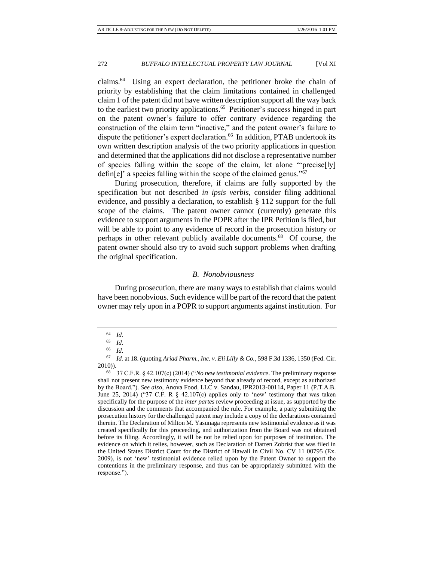claims.<sup>64</sup> Using an expert declaration, the petitioner broke the chain of priority by establishing that the claim limitations contained in challenged claim 1 of the patent did not have written description support all the way back to the earliest two priority applications.<sup>65</sup> Petitioner's success hinged in part on the patent owner's failure to offer contrary evidence regarding the construction of the claim term "inactive," and the patent owner's failure to dispute the petitioner's expert declaration.<sup>66</sup> In addition, PTAB undertook its own written description analysis of the two priority applications in question and determined that the applications did not disclose a representative number of species falling within the scope of the claim, let alone "'precise[ly] defin[e]' a species falling within the scope of the claimed genus." $67$ 

During prosecution, therefore, if claims are fully supported by the specification but not described *in ipsis verbis*, consider filing additional evidence, and possibly a declaration, to establish § 112 support for the full scope of the claims. The patent owner cannot (currently) generate this evidence to support arguments in the POPR after the IPR Petition is filed, but will be able to point to any evidence of record in the prosecution history or perhaps in other relevant publicly available documents.<sup>68</sup> Of course, the patent owner should also try to avoid such support problems when drafting the original specification.

### *B. Nonobviousness*

During prosecution, there are many ways to establish that claims would have been nonobvious. Such evidence will be part of the record that the patent owner may rely upon in a POPR to support arguments against institution. For

 $\begin{array}{cc} 64 & Id. \\ 65 & Id. \end{array}$ 

<sup>65</sup> *Id*.

<sup>66</sup> *Id*.

<sup>67</sup> *Id.* at 18. (quoting *Ariad Pharm., Inc. v. Eli Lilly & Co.*, 598 F.3d 1336, 1350 (Fed. Cir. 2010)).

<sup>68</sup> 37 C.F.R. § 42.107(c) (2014) ("*No new testimonial evidence*. The preliminary response shall not present new testimony evidence beyond that already of record, except as authorized by the Board."). *See also*, Anova Food, LLC v. Sandau, IPR2013-00114, Paper 11 (P.T.A.B. June 25, 2014) ("37 C.F. R  $\S$  42.107(c) applies only to 'new' testimony that was taken specifically for the purpose of the *inter partes* review proceeding at issue, as supported by the discussion and the comments that accompanied the rule. For example, a party submitting the prosecution history for the challenged patent may include a copy of the declarations contained therein. The Declaration of Milton M. Yasunaga represents new testimonial evidence as it was created specifically for this proceeding, and authorization from the Board was not obtained before its filing. Accordingly, it will be not be relied upon for purposes of institution. The evidence on which it relies, however, such as Declaration of Darren Zobrist that was filed in the United States District Court for the District of Hawaii in Civil No. CV 11 00795 (Ex. 2009), is not 'new' testimonial evidence relied upon by the Patent Owner to support the contentions in the preliminary response, and thus can be appropriately submitted with the response.").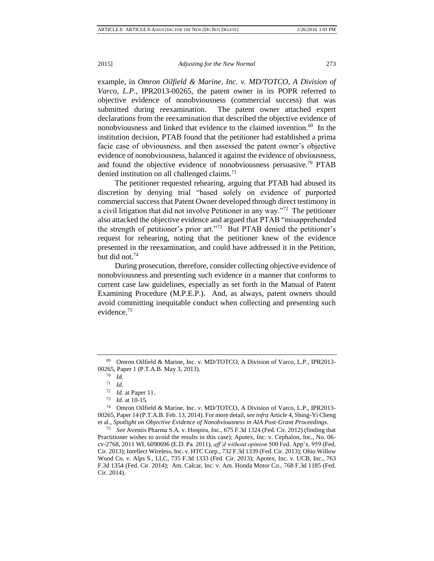example, in *Omron Oilfield & Marine, Inc. v. MD/TOTCO, A Division of Varco, L.P.*, IPR2013-00265, the patent owner in its POPR referred to objective evidence of nonobviousness (commercial success) that was submitted during reexamination. The patent owner attached expert declarations from the reexamination that described the objective evidence of nonobviousness and linked that evidence to the claimed invention.<sup>69</sup> In the institution decision, PTAB found that the petitioner had established a prima facie case of obviousness, and then assessed the patent owner's objective evidence of nonobviousness, balanced it against the evidence of obviousness, and found the objective evidence of nonobviousness persuasive.<sup>70</sup> PTAB denied institution on all challenged claims.<sup>71</sup>

The petitioner requested rehearing, arguing that PTAB had abused its discretion by denying trial "based solely on evidence of purported commercial success that Patent Owner developed through direct testimony in a civil litigation that did not involve Petitioner in any way."<sup>72</sup> The petitioner also attacked the objective evidence and argued that PTAB "misapprehended the strength of petitioner's prior art."<sup>73</sup> But PTAB denied the petitioner's request for rehearing, noting that the petitioner knew of the evidence presented in the reexamination, and could have addressed it in the Petition, but did not.<sup>74</sup>

During prosecution, therefore, consider collecting objective evidence of nonobviousness and presenting such evidence in a manner that conforms to current case law guidelines, especially as set forth in the Manual of Patent Examining Procedure (M.P.E.P.). And, as always, patent owners should avoid committing inequitable conduct when collecting and presenting such evidence.<sup>75</sup>

<sup>69</sup> Omron Oilfield & Marine, Inc. v. MD/TOTCO, A Division of Varco, L.P., IPR2013- 00265, Paper 1 (P.T.A.B. May 3, 2013).

<sup>70</sup> *Id.*

<sup>71</sup> *Id*.

<sup>72</sup> *Id.* at Paper 11.

<sup>73</sup> *Id*. at 10-15.

<sup>74</sup> Omron Oilfield & Marine, Inc. v. MD/TOTCO, A Division of Varco, L.P., IPR2013- 00265, Paper 14 (P.T.A.B. Feb. 13, 2014). For more detail, *see infra* Article 4, Shing-Yi Cheng et al., *Spotlight on Objective Evidence of Nonobviousness in AIA Post-Grant Proceedings*.

<sup>75</sup> *See* Aventis Pharma S.A. v. Hospira, Inc., 675 F.3d 1324 (Fed. Cir. 2012) (finding that Practitioner wishes to avoid the results in this case); Apotex, Inc. v. Cephalon, Inc., No. 06 cv-2768, 2011 WL 6090696 (E.D. Pa. 2011), *aff'd without opinion* 500 Fed. App'x. 959 (Fed. Cir. 2013); Intellect Wireless, Inc. v. HTC Corp., 732 F.3d 1339 (Fed. Cir. 2013); Ohio Willow Wood Co. v. Alps S., LLC, 735 F.3d 1333 (Fed. Cir. 2013); Apotex, Inc. v. UCB, Inc., 763 F.3d 1354 (Fed. Cir. 2014); Am. Calcar, Inc. v. Am. Honda Motor Co., 768 F.3d 1185 (Fed. Cir. 2014).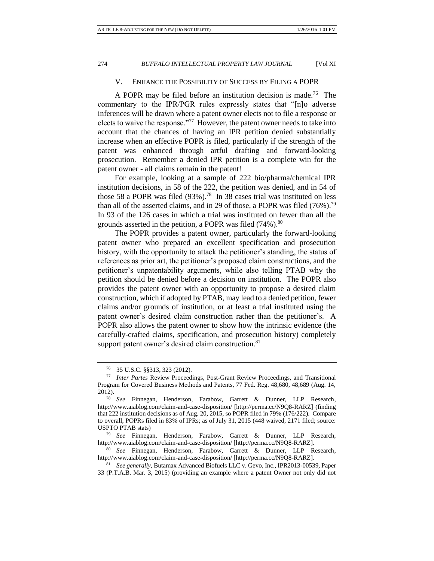# V. ENHANCE THE POSSIBILITY OF SUCCESS BY FILING A POPR

A POPR  $\text{may}$  be filed before an institution decision is made.<sup>76</sup> The commentary to the IPR/PGR rules expressly states that "[n]o adverse inferences will be drawn where a patent owner elects not to file a response or elects to waive the response."<sup>77</sup> However, the patent owner needs to take into account that the chances of having an IPR petition denied substantially increase when an effective POPR is filed, particularly if the strength of the patent was enhanced through artful drafting and forward-looking prosecution. Remember a denied IPR petition is a complete win for the patent owner - all claims remain in the patent!

For example, looking at a sample of 222 bio/pharma/chemical IPR institution decisions, in 58 of the 222, the petition was denied, and in 54 of those 58 a POPR was filed  $(93\%)$ .<sup>78</sup> In 38 cases trial was instituted on less than all of the asserted claims, and in 29 of those, a POPR was filed  $(76\%)$ .<sup>79</sup> In 93 of the 126 cases in which a trial was instituted on fewer than all the grounds asserted in the petition, a POPR was filed (74%).<sup>80</sup>

The POPR provides a patent owner, particularly the forward-looking patent owner who prepared an excellent specification and prosecution history, with the opportunity to attack the petitioner's standing, the status of references as prior art, the petitioner's proposed claim constructions, and the petitioner's unpatentability arguments, while also telling PTAB why the petition should be denied before a decision on institution. The POPR also provides the patent owner with an opportunity to propose a desired claim construction, which if adopted by PTAB, may lead to a denied petition, fewer claims and/or grounds of institution, or at least a trial instituted using the patent owner's desired claim construction rather than the petitioner's. A POPR also allows the patent owner to show how the intrinsic evidence (the carefully-crafted claims, specification, and prosecution history) completely support patent owner's desired claim construction.<sup>81</sup>

<sup>76</sup> 35 U.S.C. §§313, 323 (2012).

<sup>77</sup> *Inter Partes* Review Proceedings, Post-Grant Review Proceedings, and Transitional Program for Covered Business Methods and Patents, 77 Fed. Reg. 48,680, 48,689 (Aug. 14, 2012).

<sup>78</sup> *See* Finnegan, Henderson, Farabow, Garrett & Dunner, LLP Research, <http://www.aiablog.com/claim-and-case-disposition/> [http://perma.cc/N9Q8-RARZ] (finding that 222 institution decisions as of Aug. 20, 2015, so POPR filed in 79% (176/222). Compare to overall, POPRs filed in 83% of IPRs; as of July 31, 2015 (448 waived, 2171 filed; source: USPTO PTAB stats)

<sup>79</sup> *See* Finnegan, Henderson, Farabow, Garrett & Dunner, LLP Research, <http://www.aiablog.com/claim-and-case-disposition/> [http://perma.cc/N9Q8-RARZ].

<sup>80</sup> *See* Finnegan, Henderson, Farabow, Garrett & Dunner, LLP Research, <http://www.aiablog.com/claim-and-case-disposition/> [http://perma.cc/N9Q8-RARZ].

<sup>81</sup> *See generally,* Butamax Advanced Biofuels LLC v. Gevo, Inc., IPR2013-00539, Paper 33 (P.T.A.B. Mar. 3, 2015) (providing an example where a patent Owner not only did not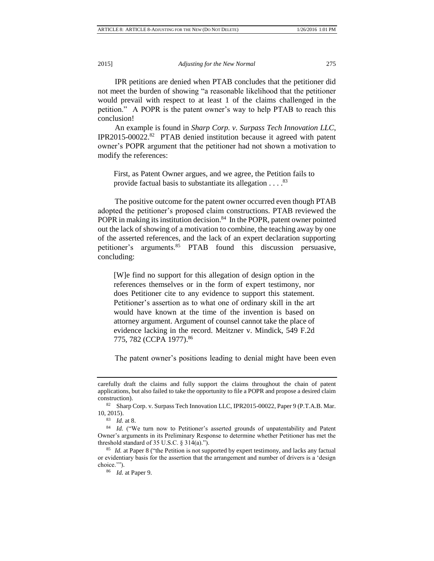conclusion!

2015] *Adjusting for the New Normal* 275

IPR petitions are denied when PTAB concludes that the petitioner did not meet the burden of showing "a reasonable likelihood that the petitioner would prevail with respect to at least 1 of the claims challenged in the petition." A POPR is the patent owner's way to help PTAB to reach this

An example is found in *Sharp Corp. v. Surpass Tech Innovation LLC*, IPR2015-00022.<sup>82</sup> PTAB denied institution because it agreed with patent owner's POPR argument that the petitioner had not shown a motivation to modify the references:

First, as Patent Owner argues, and we agree, the Petition fails to provide factual basis to substantiate its allegation  $\dots$ .<sup>83</sup>

The positive outcome for the patent owner occurred even though PTAB adopted the petitioner's proposed claim constructions. PTAB reviewed the POPR in making its institution decision.<sup>84</sup> In the POPR, patent owner pointed out the lack of showing of a motivation to combine, the teaching away by one of the asserted references, and the lack of an expert declaration supporting petitioner's arguments.<sup>85</sup> PTAB found this discussion persuasive, concluding:

[W]e find no support for this allegation of design option in the references themselves or in the form of expert testimony, nor does Petitioner cite to any evidence to support this statement. Petitioner's assertion as to what one of ordinary skill in the art would have known at the time of the invention is based on attorney argument. Argument of counsel cannot take the place of evidence lacking in the record. Meitzner v. Mindick, 549 F.2d 775, 782 (CCPA 1977).<sup>86</sup>

The patent owner's positions leading to denial might have been even

carefully draft the claims and fully support the claims throughout the chain of patent applications, but also failed to take the opportunity to file a POPR and propose a desired claim construction).

<sup>82</sup> Sharp Corp. v. Surpass Tech Innovation LLC, IPR2015-00022, Paper 9 (P.T.A.B. Mar. 10, 2015).

<sup>83</sup> *Id*. at 8.

<sup>84</sup> *Id.* ("We turn now to Petitioner's asserted grounds of unpatentability and Patent Owner's arguments in its Preliminary Response to determine whether Petitioner has met the threshold standard of 35 U.S.C.  $\S$  314(a).").

<sup>85</sup> *Id.* at Paper 8 ("the Petition is not supported by expert testimony, and lacks any factual or evidentiary basis for the assertion that the arrangement and number of drivers is a 'design choice.'").

<sup>86</sup> *Id.* at Paper 9.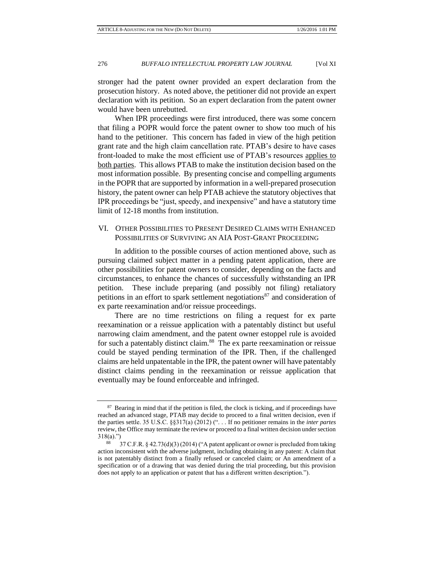stronger had the patent owner provided an expert declaration from the prosecution history. As noted above, the petitioner did not provide an expert declaration with its petition. So an expert declaration from the patent owner would have been unrebutted.

When IPR proceedings were first introduced, there was some concern that filing a POPR would force the patent owner to show too much of his hand to the petitioner. This concern has faded in view of the high petition grant rate and the high claim cancellation rate. PTAB's desire to have cases front-loaded to make the most efficient use of PTAB's resources applies to both parties. This allows PTAB to make the institution decision based on the most information possible. By presenting concise and compelling arguments in the POPR that are supported by information in a well-prepared prosecution history, the patent owner can help PTAB achieve the statutory objectives that IPR proceedings be "just, speedy, and inexpensive" and have a statutory time limit of 12-18 months from institution.

# VI. OTHER POSSIBILITIES TO PRESENT DESIRED CLAIMS WITH ENHANCED POSSIBILITIES OF SURVIVING AN AIA POST-GRANT PROCEEDING

In addition to the possible courses of action mentioned above, such as pursuing claimed subject matter in a pending patent application, there are other possibilities for patent owners to consider, depending on the facts and circumstances, to enhance the chances of successfully withstanding an IPR petition. These include preparing (and possibly not filing) retaliatory petitions in an effort to spark settlement negotiations<sup>87</sup> and consideration of ex parte reexamination and/or reissue proceedings.

There are no time restrictions on filing a request for ex parte reexamination or a reissue application with a patentably distinct but useful narrowing claim amendment, and the patent owner estoppel rule is avoided for such a patentably distinct claim.<sup>88</sup> The ex parte reexamination or reissue could be stayed pending termination of the IPR. Then, if the challenged claims are held unpatentable in the IPR, the patent owner will have patentably distinct claims pending in the reexamination or reissue application that eventually may be found enforceable and infringed.

<sup>&</sup>lt;sup>87</sup> Bearing in mind that if the petition is filed, the clock is ticking, and if proceedings have reached an advanced stage, PTAB may decide to proceed to a final written decision, even if the parties settle. 35 U.S.C. §§317(a) (2012) (". . . If no petitioner remains in the *inter partes* review, the Office may terminate the review or proceed to a final written decision under section 318(a).")

<sup>88</sup> 37 C.F.R. § 42.73(d)(3) (2014) ("A patent applicant or owner is precluded from taking action inconsistent with the adverse judgment, including obtaining in any patent: A claim that is not patentably distinct from a finally refused or canceled claim; or An amendment of a specification or of a drawing that was denied during the trial proceeding, but this provision does not apply to an application or patent that has a different written description.").